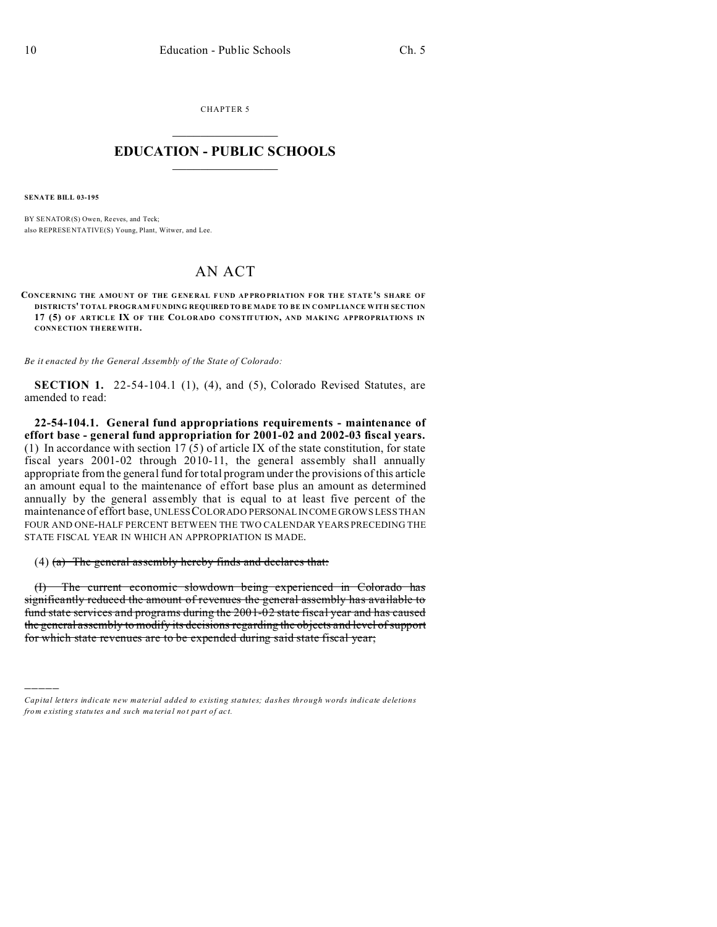CHAPTER 5  $\overline{\phantom{a}}$  , where  $\overline{\phantom{a}}$ 

## **EDUCATION - PUBLIC SCHOOLS**  $\_$   $\_$   $\_$   $\_$   $\_$   $\_$   $\_$   $\_$   $\_$

**SENATE BILL 03-195**

)))))

BY SENATOR(S) Owen, Reeves, and Teck; also REPRESE NTATIVE(S) Young, Plant, Witwer, and Lee.

## AN ACT

**CONCERNING THE AMOUNT OF THE GENERAL FUND APPROPRIATION FOR THE STATE'S SHARE OF DISTRICTS' TOTAL PROGRAM FUNDING REQUIRED TO BE MADE TO BE IN COMPLIANCE WITH SECTION 17 (5) OF ARTICLE IX OF THE COLORADO CONSTITUTION, AND MAKING APPROPRIATIONS IN CONN ECTION THEREWITH.**

*Be it enacted by the General Assembly of the State of Colorado:*

**SECTION 1.** 22-54-104.1 (1), (4), and (5), Colorado Revised Statutes, are amended to read:

**22-54-104.1. General fund appropriations requirements - maintenance of effort base - general fund appropriation for 2001-02 and 2002-03 fiscal years.** (1) In accordance with section 17 (5) of article IX of the state constitution, for state fiscal years 2001-02 through 2010-11, the general assembly shall annually appropriate from the general fund for total program under the provisions of this article an amount equal to the maintenance of effort base plus an amount as determined annually by the general assembly that is equal to at least five percent of the maintenance of effort base, UNLESS COLORADO PERSONAL INCOME GROWS LESS THAN FOUR AND ONE-HALF PERCENT BETWEEN THE TWO CALENDAR YEARS PRECEDING THE STATE FISCAL YEAR IN WHICH AN APPROPRIATION IS MADE.

(4)  $(a)$  The general assembly hereby finds and declares that:

(I) The current economic slowdown being experienced in Colorado has significantly reduced the amount of revenues the general assembly has available to fund state services and programs during the 2001-02 state fiscal year and has caused the general assembly to modify its decisions regarding the objects and level of support for which state revenues are to be expended during said state fiscal year;

*Capital letters indicate new material added to existing statutes; dashes through words indicate deletions from e xistin g statu tes a nd such ma teria l no t pa rt of ac t.*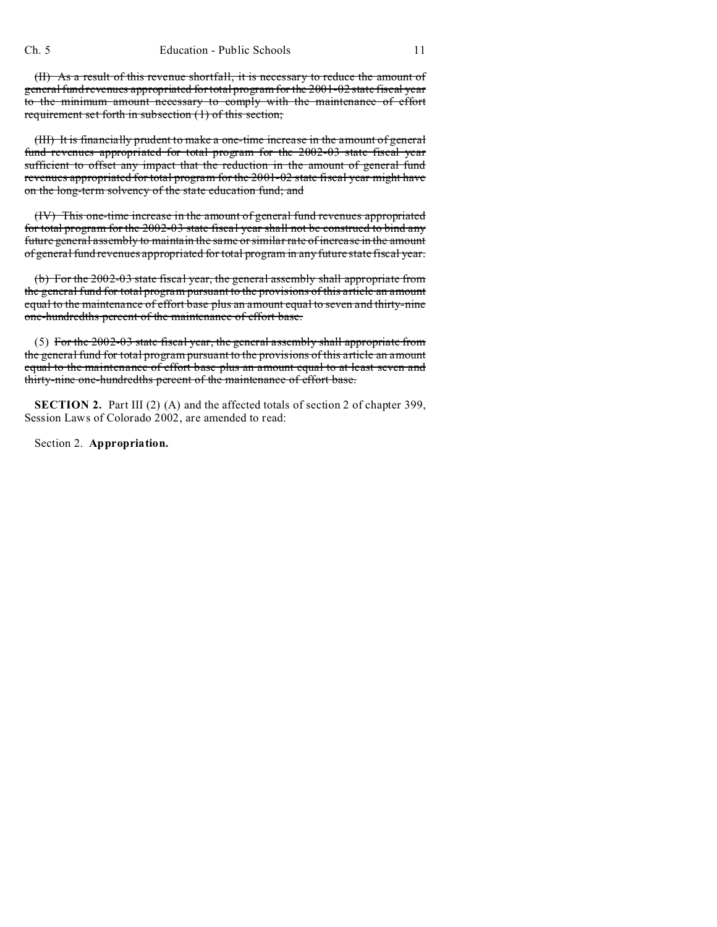(II) As a result of this revenue shortfall, it is necessary to reduce the amount of general fund revenues appropriated for total program for the 2001-02 state fiscal year to the minimum amount necessary to comply with the maintenance of effort requirement set forth in subsection (1) of this section;

(III) It is financially prudent to make a one-time increase in the amount of general fund revenues appropriated for total program for the 2002-03 state fiscal year sufficient to offset any impact that the reduction in the amount of general fund revenues appropriated for total program for the 2001-02 state fiscal year might have on the long-term solvency of the state education fund; and

(IV) This one-time increase in the amount of general fund revenues appropriated for total program for the 2002-03 state fiscal year shall not be construed to bind any future general assembly to maintain the same or similar rate of increase in the amount of general fund revenues appropriated for total program in any future state fiscal year.

(b) For the 2002-03 state fiscal year, the general assembly shall appropriate from the general fund for total program pursuant to the provisions of this article an amount equal to the maintenance of effort base plus an amount equal to seven and thirty-nine one-hundredths percent of the maintenance of effort base.

(5) For the 2002-03 state fiscal year, the general assembly shall appropriate from the general fund for total program pursuant to the provisions of this article an amount equal to the maintenance of effort base plus an amount equal to at least seven and thirty-nine one-hundredths percent of the maintenance of effort base.

**SECTION 2.** Part III (2) (A) and the affected totals of section 2 of chapter 399, Session Laws of Colorado 2002, are amended to read:

Section 2. **Appropriation.**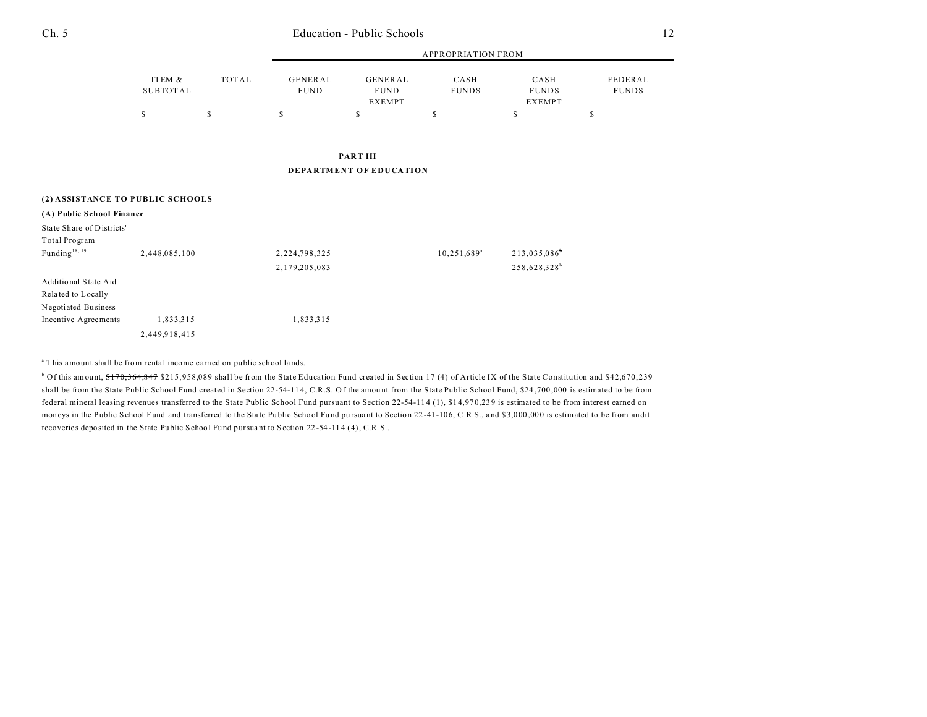| Ch. 5 | Education - Public Schools |  |
|-------|----------------------------|--|
|       |                            |  |

|          |       | APPROPRIATION FROM |               |              |               |              |  |  |
|----------|-------|--------------------|---------------|--------------|---------------|--------------|--|--|
| ITEM &   | TOTAL | GENERAL            | GENERAL       | CASH         | CASH          | FEDERAL      |  |  |
| SUBTOTAL |       | <b>FUND</b>        | <b>FUND</b>   | <b>FUNDS</b> | <b>FUNDS</b>  | <b>FUNDS</b> |  |  |
|          |       |                    | <b>EXEMPT</b> |              | <b>EXEMPT</b> |              |  |  |
|          |       |                    |               |              |               |              |  |  |

**PART III DEPARTMENT OF EDUCATION**

| (2) ASSISTANCE TO PUBLIC SCHOOLS |               |               |                |                          |  |  |  |  |
|----------------------------------|---------------|---------------|----------------|--------------------------|--|--|--|--|
| (A) Public School Finance        |               |               |                |                          |  |  |  |  |
| State Share of Districts'        |               |               |                |                          |  |  |  |  |
| Total Program                    |               |               |                |                          |  |  |  |  |
| Funding <sup>18, 19</sup>        | 2,448,085,100 | 2,224,798,325 | $10,251,689^a$ | 213.035.086              |  |  |  |  |
|                                  |               | 2,179,205,083 |                | 258,628,328 <sup>b</sup> |  |  |  |  |
| Additional State Aid             |               |               |                |                          |  |  |  |  |
| Related to Locally               |               |               |                |                          |  |  |  |  |
| Negotiated Business              |               |               |                |                          |  |  |  |  |
| Incentive Agreements             | 1,833,315     | 1,833,315     |                |                          |  |  |  |  |
|                                  | 2,449,918,415 |               |                |                          |  |  |  |  |

<sup>a</sup> This amount shall be from rental income earned on public school lands.

<sup>b</sup> Of this amount, <del>\$170,364,847</del> \$215,958,089 shall be from the State Education Fund created in Section 17 (4) of Article IX of the State Constitution and \$42,670,239 shall be from the State Public School Fund created in Section 22-54-11 4, C.R.S. Of the amou nt from the State Public School Fund, \$24 ,700 ,000 is estimated to be from federal mineral leasing revenues transferred to the State Public School Fund pursuant to Section 22-54-11 4 (1), \$1 4,97 0,239 is estimated to be from interest earned on moneys in the Public School Fund and transferred to the State Public School Fund pursuant to Section 22-41-106, C.R.S., and \$3,000,000 is estimated to be from audit recoveries deposited in the State Public School Fund pursuant to Section 22-54-114 (4), C.R.S..